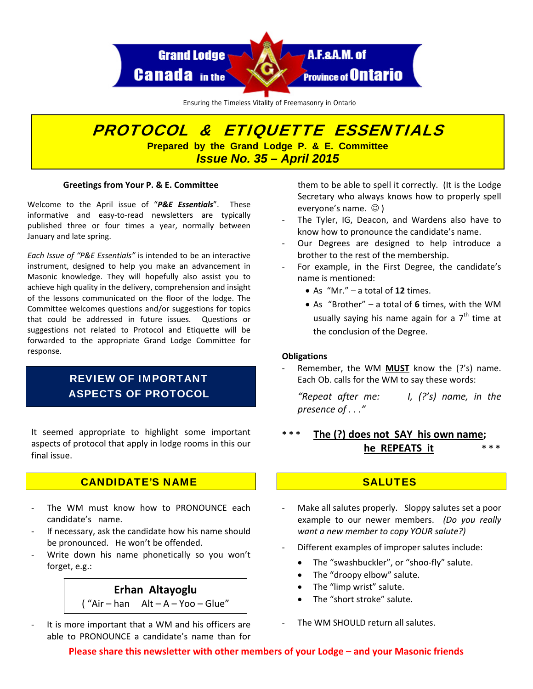

Ensuring the Timeless Vitality of Freemasonry in Ontario

# PROTOCOL & ETIQUETTE ESSENTIALS **Prepared by the Grand Lodge P. & E. Committee**  *Issue No. 35 – April 2015*

#### **Greetings from Your P. & E. Committee**

Welcome to the April issue of "*P&E Essentials*". These informative and easy-to-read newsletters are typically published three or four times a year, normally between January and late spring.

*Each Issue of "P&E Essentials"* is intended to be an interactive instrument, designed to help you make an advancement in Masonic knowledge. They will hopefully also assist you to achieve high quality in the delivery, comprehension and insight of the lessons communicated on the floor of the lodge. The Committee welcomes questions and/or suggestions for topics that could be addressed in future issues. Questions or suggestions not related to Protocol and Etiquette will be forwarded to the appropriate Grand Lodge Committee for response.

## REVIEW OF IMPORTANT ASPECTS OF PROTOCOL

It seemed appropriate to highlight some important aspects of protocol that apply in lodge rooms in this our final issue.

## CANDIDATE'S NAME

- The WM must know how to PRONOUNCE each candidate's name.
- If necessary, ask the candidate how his name should be pronounced. He won't be offended.
- ‐ Write down his name phonetically so you won't forget, e.g.:

# **Erhan Altayoglu Constanting of the "limp wrist" salute.**<br> **Example 2 Alta A.** Maximalize Chart **Constanting Chart Constanting 1 Constanting Chart Constanting Chart Constanting Constanting Constanting Constanting C**  $(''Air - han Alt - A - Yoo - Glue'')$

It is more important that a WM and his officers are able to PRONOUNCE a candidate's name than for

them to be able to spell it correctly. (It is the Lodge Secretary who always knows how to properly spell everyone's name.  $\odot$  )

- The Tyler, IG, Deacon, and Wardens also have to know how to pronounce the candidate's name.
- ‐ Our Degrees are designed to help introduce a brother to the rest of the membership.
- ‐ For example, in the First Degree, the candidate's name is mentioned:
	- As "Mr." a total of **12** times.
	- As "Brother" a total of **6** times, with the WM usually saying his name again for a  $7<sup>th</sup>$  time at the conclusion of the Degree.

#### **Obligations**

‐ Remember, the WM **MUST** know the (?'s) name. Each Ob. calls for the WM to say these words:

*"Repeat after me: I, (?'s) name, in the presence of . . ."*

## **\* \* \* The (?) does not SAY his own name; he REPEATS it \* \* \***

## **SALUTES**

- Make all salutes properly. Sloppy salutes set a poor example to our newer members. *(Do you really want a new member to copy YOUR salute?)*
- ‐ Different examples of improper salutes include:
	- The "swashbuckler", or "shoo-fly" salute.
	- The "droopy elbow" salute.
	-
	-

#### The WM SHOULD return all salutes.

**Please share this newsletter with other members of your Lodge – and your Masonic friends**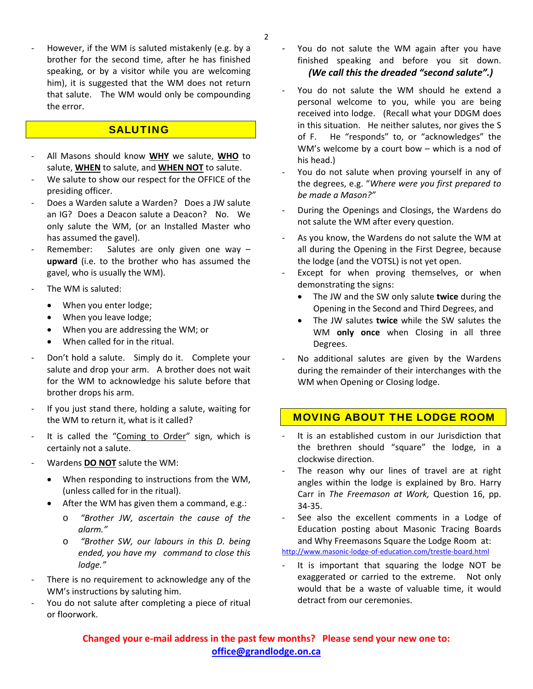‐ However, if the WM is saluted mistakenly (e.g. by a brother for the second time, after he has finished speaking, or by a visitor while you are welcoming him), it is suggested that the WM does not return that salute. The WM would only be compounding the error.

## **SALUTING**

- ‐ All Masons should know **WHY** we salute, **WHO** to salute, **WHEN** to salute, and **WHEN NOT** to salute.
- We salute to show our respect for the OFFICE of the presiding officer.
- ‐ Does a Warden salute a Warden? Does a JW salute an IG? Does a Deacon salute a Deacon? No. We only salute the WM, (or an Installed Master who has assumed the gavel).
- Remember: Salutes are only given one way **upward** (i.e. to the brother who has assumed the gavel, who is usually the WM).
- ‐ The WM is saluted:
	- When you enter lodge;
	- When you leave lodge;
	- When you are addressing the WM; or
	- When called for in the ritual.
- ‐ Don't hold a salute. Simply do it. Complete your salute and drop your arm. A brother does not wait for the WM to acknowledge his salute before that brother drops his arm.
- ‐ If you just stand there, holding a salute, waiting for the WM to return it, what is it called?
- It is called the "Coming to Order" sign, which is certainly not a salute.
- ‐ Wardens **DO NOT** salute the WM:
	- When responding to instructions from the WM, (unless called for in the ritual).
	- After the WM has given them a command, e.g.:
		- o *"Brother JW, ascertain the cause of the alarm."*
		- o *"Brother SW, our labours in this D. being ended, you have my command to close this lodge."*
- There is no requirement to acknowledge any of the WM's instructions by saluting him.
- You do not salute after completing a piece of ritual or floorwork.
- ‐ You do not salute the WM again after you have finished speaking and before you sit down. *(We call this the dreaded "second salute".)*
- You do not salute the WM should he extend a personal welcome to you, while you are being received into lodge. (Recall what your DDGM does in this situation. He neither salutes, nor gives the S of F. He "responds" to, or "acknowledges" the WM's welcome by a court bow – which is a nod of his head.)
- You do not salute when proving yourself in any of the degrees, e.g. "*Where were you first prepared to be made a Mason?"*
- ‐ During the Openings and Closings, the Wardens do not salute the WM after every question.
- As you know, the Wardens do not salute the WM at all during the Opening in the First Degree, because the lodge (and the VOTSL) is not yet open.
- Except for when proving themselves, or when demonstrating the signs:
	- The JW and the SW only salute **twice** during the Opening in the Second and Third Degrees, and
	- The JW salutes **twice** while the SW salutes the WM **only once** when Closing in all three Degrees.
- No additional salutes are given by the Wardens during the remainder of their interchanges with the WM when Opening or Closing lodge.

## . MOVING ABOUT THE LODGE ROOM

- ‐ It is an established custom in our Jurisdiction that the brethren should "square" the lodge, in a clockwise direction.
- The reason why our lines of travel are at right angles within the lodge is explained by Bro. Harry Carr in *The Freemason at Work,* Question 16, pp. 34‐35.
- See also the excellent comments in a Lodge of Education posting about Masonic Tracing Boards and Why Freemasons Square the Lodge Room at:

http://www.masonic‐lodge‐of‐[education.com/trestle](http://www.masonic-lodge-of-education.com/trestle-board.html)‐board.html

It is important that squaring the lodge NOT be exaggerated or carried to the extreme. Not only would that be a waste of valuable time, it would detract from our ceremonies.

**office@grandlodge.on.ca Changed your e‐mail address in the past few months? Please send your new one to:**